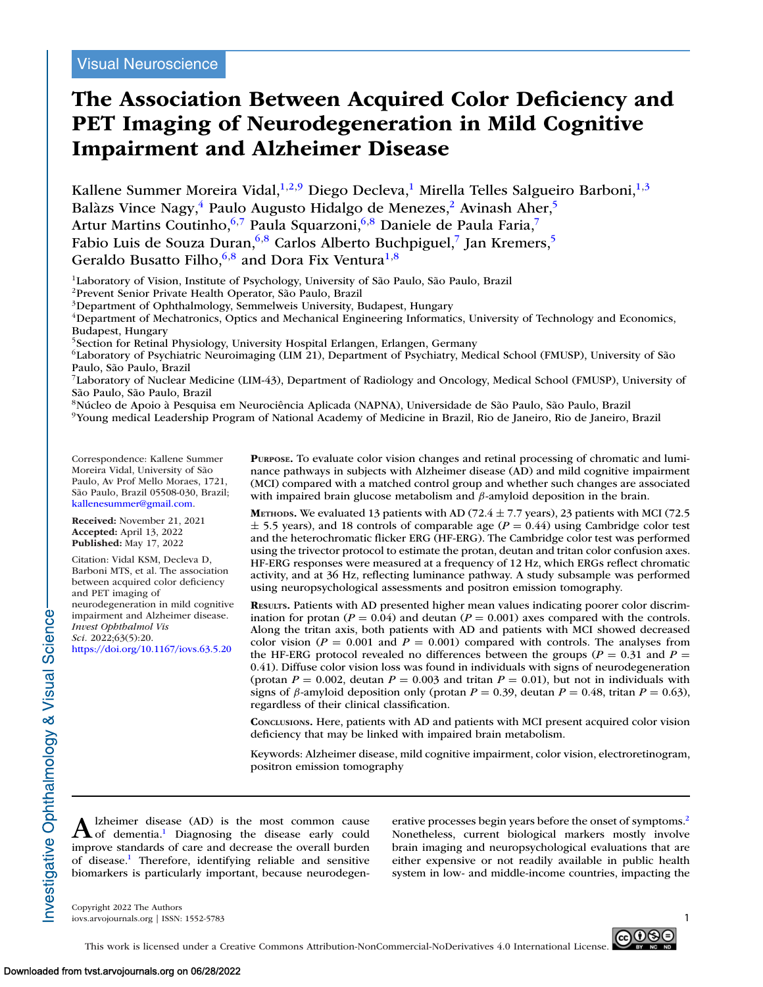# **The Association Between Acquired Color Deficiency and PET Imaging of Neurodegeneration in Mild Cognitive Impairment and Alzheimer Disease**

Kallene Summer Moreira Vidal,<sup>1,2,9</sup> Diego Decleva,<sup>1</sup> Mirella Telles Salgueiro Barboni,<sup>1,3</sup> Balàzs Vince Nagy,<sup>4</sup> Paulo Augusto Hidalgo de Menezes,<sup>2</sup> Avinash Aher,<sup>5</sup> Artur Martins Coutinho, 6,7 Paula Squarzoni, 6,8 Daniele de Paula Faria,7 Fabio Luis de Souza Duran,<sup>6,8</sup> Carlos Alberto Buchpiguel,<sup>7</sup> Jan Kremers,<sup>5</sup> Geraldo Busatto Filho,  $6,8$  and Dora Fix Ventura<sup>1,8</sup>

<sup>1</sup>Laboratory of Vision, Institute of Psychology, University of São Paulo, São Paulo, Brazil

2Prevent Senior Private Health Operator, São Paulo, Brazil

3Department of Ophthalmology, Semmelweis University, Budapest, Hungary

4Department of Mechatronics, Optics and Mechanical Engineering Informatics, University of Technology and Economics, Budapest, Hungary

5Section for Retinal Physiology, University Hospital Erlangen, Erlangen, Germany

6Laboratory of Psychiatric Neuroimaging (LIM 21), Department of Psychiatry, Medical School (FMUSP), University of São Paulo, São Paulo, Brazil

7Laboratory of Nuclear Medicine (LIM-43), Department of Radiology and Oncology, Medical School (FMUSP), University of São Paulo, São Paulo, Brazil

8Núcleo de Apoio à Pesquisa em Neurociência Aplicada (NAPNA), Universidade de São Paulo, São Paulo, Brazil

9Young medical Leadership Program of National Academy of Medicine in Brazil, Rio de Janeiro, Rio de Janeiro, Brazil

Correspondence: Kallene Summer Moreira Vidal, University of São Paulo, Av Prof Mello Moraes, 1721, São Paulo, Brazil 05508-030, Brazil; [kallenesummer@gmail.com.](mailto:kallenesummer@gmail.com)

**Received:** November 21, 2021 **Accepted:** April 13, 2022 **Published:** May 17, 2022

Citation: Vidal KSM, Decleva D, Barboni MTS, et al. The association between acquired color deficiency and PET imaging of neurodegeneration in mild cognitive impairment and Alzheimer disease. *Invest Ophthalmol Vis Sci.* 2022;63(5):20. <https://doi.org/10.1167/iovs.63.5.20>

**PURPOSE.** To evaluate color vision changes and retinal processing of chromatic and luminance pathways in subjects with Alzheimer disease (AD) and mild cognitive impairment (MCI) compared with a matched control group and whether such changes are associated with impaired brain glucose metabolism and  $\beta$ -amyloid deposition in the brain.

**METHODS.** We evaluated 13 patients with AD (72.4  $\pm$  7.7 years), 23 patients with MCI (72.5  $\pm$  5.5 years), and 18 controls of comparable age ( $P = 0.44$ ) using Cambridge color test and the heterochromatic flicker ERG (HF-ERG). The Cambridge color test was performed using the trivector protocol to estimate the protan, deutan and tritan color confusion axes. HF-ERG responses were measured at a frequency of 12 Hz, which ERGs reflect chromatic activity, and at 36 Hz, reflecting luminance pathway. A study subsample was performed using neuropsychological assessments and positron emission tomography.

**RESULTS.** Patients with AD presented higher mean values indicating poorer color discrimination for protan ( $P = 0.04$ ) and deutan ( $P = 0.001$ ) axes compared with the controls. Along the tritan axis, both patients with AD and patients with MCI showed decreased color vision ( $P = 0.001$  and  $P = 0.001$ ) compared with controls. The analyses from the HF-ERG protocol revealed no differences between the groups ( $P = 0.31$  and  $P =$ 0.41). Diffuse color vision loss was found in individuals with signs of neurodegeneration (protan  $P = 0.002$ , deutan  $P = 0.003$  and tritan  $P = 0.01$ ), but not in individuals with signs of  $\beta$ -amyloid deposition only (protan  $P = 0.39$ , deutan  $P = 0.48$ , tritan  $P = 0.63$ ), regardless of their clinical classification.

**CONCLUSIONS.** Here, patients with AD and patients with MCI present acquired color vision deficiency that may be linked with impaired brain metabolism.

Keywords: Alzheimer disease, mild cognitive impairment, color vision, electroretinogram, positron emission tomography

A Izheimer dis[ea](#page-7-0)se (AD) is the most common cause<br>
of dementia.<sup>1</sup> Diagnosing the disease early could improve standards of care and decrease the overall burden of disease[.1](#page-7-0) Therefore, identifying reliable and sensitive biomarkers is particularly important, because neurodegenerative processes begin years before the onset of symptoms.<sup>2</sup> Nonetheless, current biological markers mostly involve brain imaging and neuropsychological evaluations that are either expensive or not readily available in public health system in low- and middle-income countries, impacting the

Copyright 2022 The Authors iovs.arvojournals.org | ISSN: 1552-5783 1



nvestigative Ophthalmology & Visual Science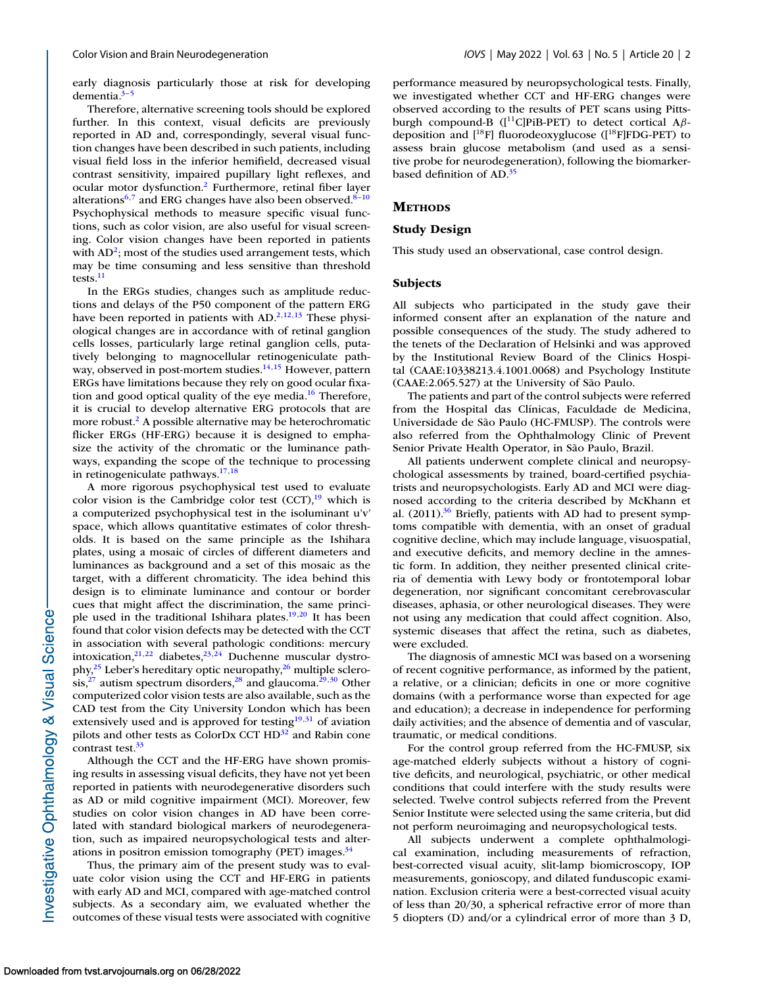early diagnosis particularly those at risk for developing dementia. $3-5$ 

Therefore, alternative screening tools should be explored further. In this context, visual deficits are previously reported in AD and, correspondingly, several visual function changes have been described in such patients, including visual field loss in the inferior hemifield, decreased visual contrast sensitivity, impaired pupillary light reflexes, and ocular motor dysfunction[.2](#page-7-0) Furthermore, retinal fiber layer alterations<sup>6,7</sup> and ERG changes have also been observed.<sup>8-10</sup> Psychophysical methods to measure specific visual functions, such as color vision, are also useful for visual screening. Color vision changes have been reported in patients with  $AD^2$ ; most of the studies used arrangement tests, which may be time consuming and less sensitive than threshold tests.<sup>11</sup>

In the ERGs studies, changes such as amplitude reductions and delays of the P50 component of the pattern ERG have been reported in patients with  $AD^{2,12,13}$  These physiological changes are in accordance with of retinal ganglion cells losses, particularly large retinal ganglion cells, putatively belonging to magnocellular retinogeniculate pathway, observed in post-mortem studies.<sup>14,15</sup> However, pattern ERGs have limitations because they rely on good ocular fixation and good optical quality of the eye media. $16$  Therefore, it is crucial to develop alternative ERG protocols that are more robust.<sup>2</sup> A possible alternative may be heterochromatic flicker ERGs (HF-ERG) because it is designed to emphasize the activity of the chromatic or the luminance pathways, expanding the scope of the technique to processing in retinogeniculate pathways[.17,18](#page-7-0)

A more rigorous psychophysical test used to evaluate color vision is the Cambridge color test  $(CCT)$ ,<sup>19</sup> which is a computerized psychophysical test in the isoluminant u'v' space, which allows quantitative estimates of color thresholds. It is based on the same principle as the Ishihara plates, using a mosaic of circles of different diameters and luminances as background and a set of this mosaic as the target, with a different chromaticity. The idea behind this design is to eliminate luminance and contour or border cues that might affect the discrimination, the same principle used in the traditional Ishihara plates.<sup>19,20</sup> It has been found that color vision defects may be detected with the CCT in association with several pathologic conditions: mercury intoxication, $2^{1,22}$  diabetes, $2^{3,24}$  $2^{3,24}$  $2^{3,24}$  Duchenne muscular dystrophy, $2^5$  Leber's hereditary optic neuropathy, $2^6$  multiple sclero- $\sin^{27}$  autism spectrum disorders,<sup>28</sup> and glaucoma.<sup>29,30</sup> Other computerized color vision tests are also available, such as the CAD test from the City University London which has been extensively used and is approved for testing<sup>19,[31](#page-8-0)</sup> of aviation pilots and other tests as ColorDx CCT HD<sup>32</sup> and Rabin cone contrast test.<sup>33</sup>

Although the CCT and the HF-ERG have shown promising results in assessing visual deficits, they have not yet been reported in patients with neurodegenerative disorders such as AD or mild cognitive impairment (MCI). Moreover, few studies on color vision changes in AD have been correlated with standard biological markers of neurodegeneration, such as impaired neuropsychological tests and alterations in positron emission tomography (PET) images. $34$ 

Thus, the primary aim of the present study was to evaluate color vision using the CCT and HF-ERG in patients with early AD and MCI, compared with age-matched control subjects. As a secondary aim, we evaluated whether the outcomes of these visual tests were associated with cognitive performance measured by neuropsychological tests. Finally, we investigated whether CCT and HF-ERG changes were observed according to the results of PET scans using Pittsburgh compound-B ([11C]PiB-PET) to detect cortical Aβdeposition and  $[$ <sup>18</sup>F] fluorodeoxyglucose ( $[$ <sup>18</sup>F]FDG-PET) to assess brain glucose metabolism (and used as a sensitive probe for neurodegeneration), following the biomarkerbased definition of AD[.35](#page-8-0)

#### **METHODS**

#### **Study Design**

This study used an observational, case control design.

#### **Subjects**

All subjects who participated in the study gave their informed consent after an explanation of the nature and possible consequences of the study. The study adhered to the tenets of the Declaration of Helsinki and was approved by the Institutional Review Board of the Clinics Hospital (CAAE:10338213.4.1001.0068) and Psychology Institute (CAAE:2.065.527) at the University of São Paulo.

The patients and part of the control subjects were referred from the Hospital das Clínicas, Faculdade de Medicina, Universidade de São Paulo (HC-FMUSP). The controls were also referred from the Ophthalmology Clinic of Prevent Senior Private Health Operator, in São Paulo, Brazil.

All patients underwent complete clinical and neuropsychological assessments by trained, board-certified psychiatrists and neuropsychologists. Early AD and MCI were diagnosed according to the criteria described by McKhann et al. (2011).<sup>36</sup> Briefly, patients with AD had to present symptoms compatible with dementia, with an onset of gradual cognitive decline, which may include language, visuospatial, and executive deficits, and memory decline in the amnestic form. In addition, they neither presented clinical criteria of dementia with Lewy body or frontotemporal lobar degeneration, nor significant concomitant cerebrovascular diseases, aphasia, or other neurological diseases. They were not using any medication that could affect cognition. Also, systemic diseases that affect the retina, such as diabetes, were excluded.

The diagnosis of amnestic MCI was based on a worsening of recent cognitive performance, as informed by the patient, a relative, or a clinician; deficits in one or more cognitive domains (with a performance worse than expected for age and education); a decrease in independence for performing daily activities; and the absence of dementia and of vascular, traumatic, or medical conditions.

For the control group referred from the HC-FMUSP, six age-matched elderly subjects without a history of cognitive deficits, and neurological, psychiatric, or other medical conditions that could interfere with the study results were selected. Twelve control subjects referred from the Prevent Senior Institute were selected using the same criteria, but did not perform neuroimaging and neuropsychological tests.

All subjects underwent a complete ophthalmological examination, including measurements of refraction, best-corrected visual acuity, slit-lamp biomicroscopy, IOP measurements, gonioscopy, and dilated funduscopic examination. Exclusion criteria were a best-corrected visual acuity of less than 20/30, a spherical refractive error of more than 5 diopters (D) and/or a cylindrical error of more than 3 D,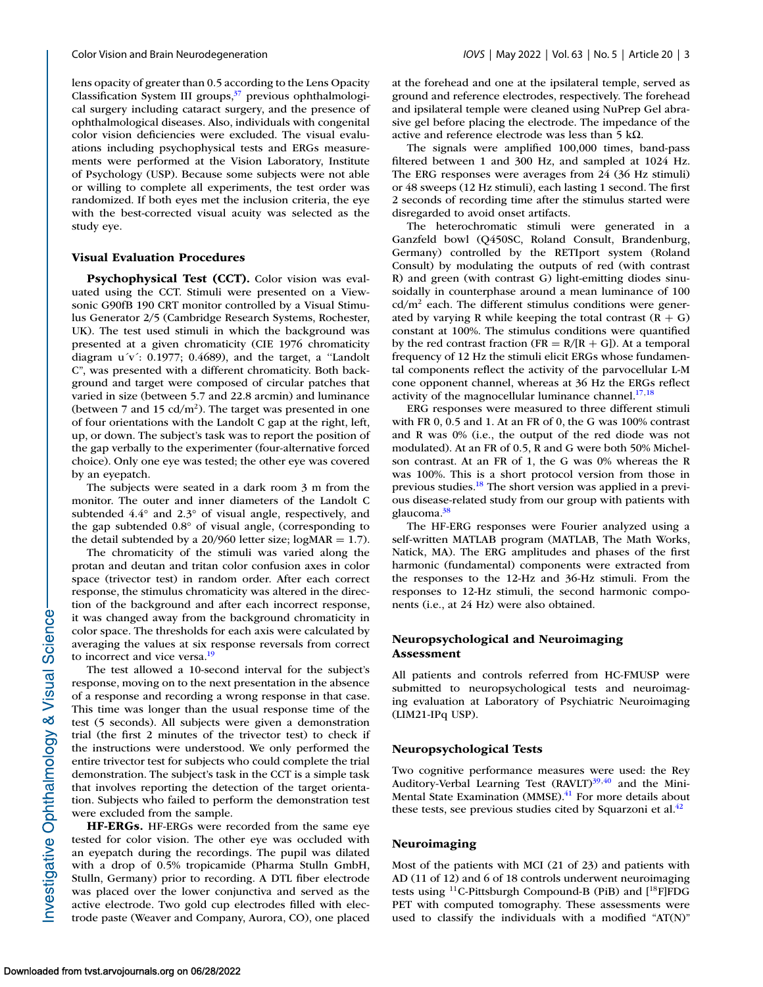lens opacity of greater than 0.5 according to the Lens Opacity Classification System III groups,<sup>37</sup> previous ophthalmological surgery including cataract surgery, and the presence of ophthalmological diseases. Also, individuals with congenital color vision deficiencies were excluded. The visual evaluations including psychophysical tests and ERGs measurements were performed at the Vision Laboratory, Institute of Psychology (USP). Because some subjects were not able or willing to complete all experiments, the test order was randomized. If both eyes met the inclusion criteria, the eye with the best-corrected visual acuity was selected as the study eye.

#### **Visual Evaluation Procedures**

**Psychophysical Test (CCT).** Color vision was evaluated using the CCT. Stimuli were presented on a Viewsonic G90fB 190 CRT monitor controlled by a Visual Stimulus Generator 2/5 (Cambridge Research Systems, Rochester, UK). The test used stimuli in which the background was presented at a given chromaticity (CIE 1976 chromaticity diagram  $u'v'$ : 0.1977; 0.4689), and the target, a "Landolt" C", was presented with a different chromaticity. Both background and target were composed of circular patches that varied in size (between 5.7 and 22.8 arcmin) and luminance (between 7 and 15  $cd/m<sup>2</sup>$ ). The target was presented in one of four orientations with the Landolt C gap at the right, left, up, or down. The subject's task was to report the position of the gap verbally to the experimenter (four-alternative forced choice). Only one eye was tested; the other eye was covered by an eyepatch.

The subjects were seated in a dark room 3 m from the monitor. The outer and inner diameters of the Landolt C subtended 4.4° and 2.3° of visual angle, respectively, and the gap subtended 0.8° of visual angle, (corresponding to the detail subtended by a  $20/960$  letter size; logMAR = 1.7).

The chromaticity of the stimuli was varied along the protan and deutan and tritan color confusion axes in color space (trivector test) in random order. After each correct response, the stimulus chromaticity was altered in the direction of the background and after each incorrect response, it was changed away from the background chromaticity in color space. The thresholds for each axis were calculated by averaging the values at six response reversals from correct to incorrect and vice versa.<sup>19</sup>

The test allowed a 10-second interval for the subject's response, moving on to the next presentation in the absence of a response and recording a wrong response in that case. This time was longer than the usual response time of the test (5 seconds). All subjects were given a demonstration trial (the first 2 minutes of the trivector test) to check if the instructions were understood. We only performed the entire trivector test for subjects who could complete the trial demonstration. The subject's task in the CCT is a simple task that involves reporting the detection of the target orientation. Subjects who failed to perform the demonstration test were excluded from the sample.

**HF-ERGs.** HF-ERGs were recorded from the same eye tested for color vision. The other eye was occluded with an eyepatch during the recordings. The pupil was dilated with a drop of 0.5% tropicamide (Pharma Stulln GmbH, Stulln, Germany) prior to recording. A DTL fiber electrode was placed over the lower conjunctiva and served as the active electrode. Two gold cup electrodes filled with electrode paste (Weaver and Company, Aurora, CO), one placed at the forehead and one at the ipsilateral temple, served as ground and reference electrodes, respectively. The forehead and ipsilateral temple were cleaned using NuPrep Gel abrasive gel before placing the electrode. The impedance of the active and reference electrode was less than 5 kΩ.

The signals were amplified 100,000 times, band-pass filtered between 1 and 300 Hz, and sampled at 1024 Hz. The ERG responses were averages from 24 (36 Hz stimuli) or 48 sweeps (12 Hz stimuli), each lasting 1 second. The first 2 seconds of recording time after the stimulus started were disregarded to avoid onset artifacts.

The heterochromatic stimuli were generated in a Ganzfeld bowl (Q450SC, Roland Consult, Brandenburg, Germany) controlled by the RETIport system (Roland Consult) by modulating the outputs of red (with contrast R) and green (with contrast G) light-emitting diodes sinusoidally in counterphase around a mean luminance of 100  $cd/m<sup>2</sup>$  each. The different stimulus conditions were generated by varying R while keeping the total contrast  $(R + G)$ constant at 100%. The stimulus conditions were quantified by the red contrast fraction ( $FR = R/(R + G)$ ). At a temporal frequency of 12 Hz the stimuli elicit ERGs whose fundamental components reflect the activity of the parvocellular L-M cone opponent channel, whereas at 36 Hz the ERGs reflect activity of the magnocellular luminance channel. $17,18$ 

ERG responses were measured to three different stimuli with FR 0, 0.5 and 1. At an FR of 0, the G was 100% contrast and R was 0% (i.e., the output of the red diode was not modulated). At an FR of 0.5, R and G were both 50% Michelson contrast. At an FR of 1, the G was 0% whereas the R was 100%. This is a short protocol version from those in previous studies[.18](#page-7-0) The short version was applied in a previous disease-related study from our group with patients with glaucoma.<sup>38</sup>

The HF-ERG responses were Fourier analyzed using a self-written MATLAB program (MATLAB, The Math Works, Natick, MA). The ERG amplitudes and phases of the first harmonic (fundamental) components were extracted from the responses to the 12-Hz and 36-Hz stimuli. From the responses to 12-Hz stimuli, the second harmonic components (i.e., at 24 Hz) were also obtained.

# **Neuropsychological and Neuroimaging Assessment**

All patients and controls referred from HC-FMUSP were submitted to neuropsychological tests and neuroimaging evaluation at Laboratory of Psychiatric Neuroimaging (LIM21-IPq USP).

#### **Neuropsychological Tests**

Two cognitive performance measures were used: the Rey Auditory-Verbal Learning Test  $(RAVLT)^{39,40}$  $(RAVLT)^{39,40}$  $(RAVLT)^{39,40}$  and the Mini-Mental State Examination (MMSE).<sup>41</sup> For more details about these tests, see previous studies cited by Squarzoni et al. $42$ 

#### **Neuroimaging**

Most of the patients with MCI (21 of 23) and patients with AD (11 of 12) and 6 of 18 controls underwent neuroimaging tests using  $^{11}$ C-Pittsburgh Compound-B (PiB) and  $[^{18}$ F]FDG PET with computed tomography. These assessments were used to classify the individuals with a modified "AT(N)"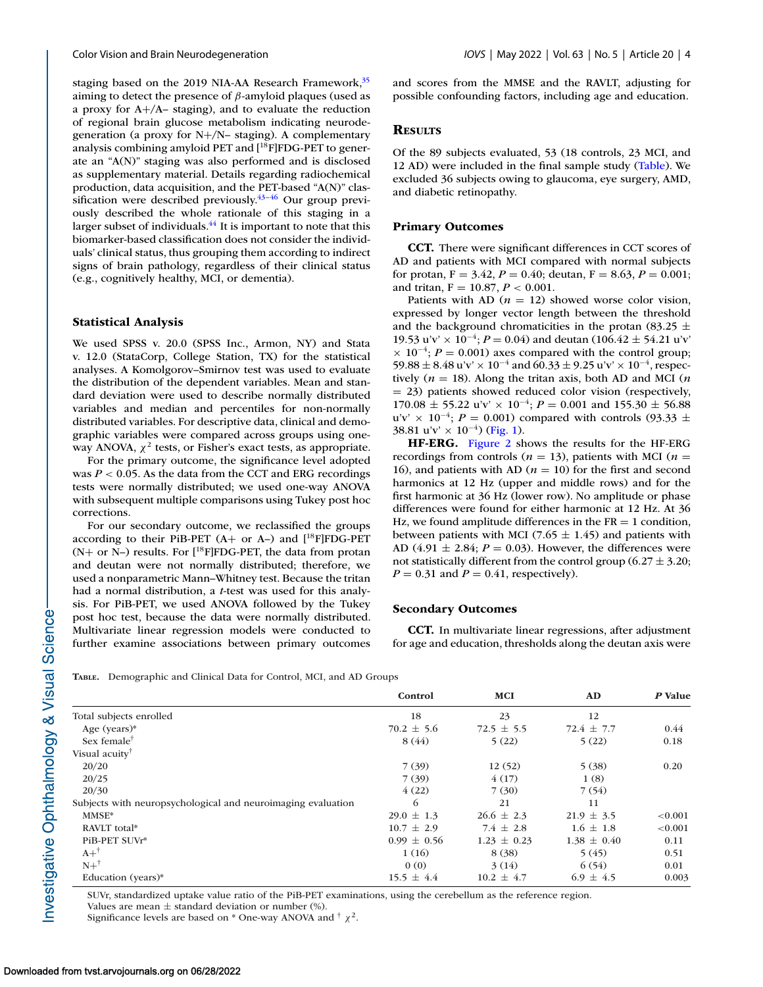<span id="page-3-0"></span>staging based on the 2019 NIA-AA Research Framework,<sup>35</sup> aiming to detect the presence of  $\beta$ -amyloid plaques (used as a proxy for A+/A– staging), and to evaluate the reduction of regional brain glucose metabolism indicating neurodegeneration (a proxy for N+/N– staging). A complementary analysis combining amyloid PET and  $[$ <sup>18</sup>F]FDG-PET to generate an "A(N)" staging was also performed and is disclosed as supplementary material. Details regarding radiochemical production, data acquisition, and the PET-based "A(N)" classification were described previously. $43-46$  Our group previously described the whole rationale of this staging in a larger subset of individuals.<sup>44</sup> It is important to note that this biomarker-based classification does not consider the individuals' clinical status, thus grouping them according to indirect signs of brain pathology, regardless of their clinical status (e.g., cognitively healthy, MCI, or dementia).

# **Statistical Analysis**

We used SPSS v. 20.0 (SPSS Inc., Armon, NY) and Stata v. 12.0 (StataCorp, College Station, TX) for the statistical analyses. A Komolgorov–Smirnov test was used to evaluate the distribution of the dependent variables. Mean and standard deviation were used to describe normally distributed variables and median and percentiles for non-normally distributed variables. For descriptive data, clinical and demographic variables were compared across groups using oneway ANOVA,  $\chi^2$  tests, or Fisher's exact tests, as appropriate.

For the primary outcome, the significance level adopted was  $P < 0.05$ . As the data from the CCT and ERG recordings tests were normally distributed; we used one-way ANOVA with subsequent multiple comparisons using Tukey post hoc corrections.

For our secondary outcome, we reclassified the groups according to their PiB-PET  $(A+$  or A–) and  $[$ <sup>18</sup>F]FDG-PET  $(N+$  or N–) results. For  $[^{18}F]$ FDG-PET, the data from protan and deutan were not normally distributed; therefore, we used a nonparametric Mann–Whitney test. Because the tritan had a normal distribution, a *t*-test was used for this analysis. For PiB-PET, we used ANOVA followed by the Tukey post hoc test, because the data were normally distributed. Multivariate linear regression models were conducted to further examine associations between primary outcomes and scores from the MMSE and the RAVLT, adjusting for possible confounding factors, including age and education.

## **RESULTS**

Of the 89 subjects evaluated, 53 (18 controls, 23 MCI, and 12 AD) were included in the final sample study (Table). We excluded 36 subjects owing to glaucoma, eye surgery, AMD, and diabetic retinopathy.

## **Primary Outcomes**

**CCT.** There were significant differences in CCT scores of AD and patients with MCI compared with normal subjects for protan,  $F = 3.42$ ,  $P = 0.40$ ; deutan,  $F = 8.63$ ,  $P = 0.001$ ; and tritan, F = 10.87, *P* < 0.001.

Patients with AD ( $n = 12$ ) showed worse color vision, expressed by longer vector length between the threshold and the background chromaticities in the protan (83.25  $\pm$ 19.53 u'v' × 10<sup>-4</sup>;  $P = 0.04$ ) and deutan (106.42 ± 54.21 u'v'  $\times$  10<sup>-4</sup>; *P* = 0.001) axes compared with the control group; 59.88  $\pm$  8.48 u'v' × 10<sup>-4</sup> and 60.33  $\pm$  9.25 u'v' × 10<sup>-4</sup>, respectively  $(n = 18)$ . Along the tritan axis, both AD and MCI  $(n \cdot n)$ = 23) patients showed reduced color vision (respectively, 170.08 ± 55.22 u'v' × 10−4; *P* = 0.001 and 155.30 ± 56.88 u'v' × 10<sup>-4</sup>; *P* = 0.001) compared with controls (93.33 ± 38.81 u'v' × 10<sup>-4</sup>) [\(Fig. 1\)](#page-4-0).

**HF-ERG.** [Figure 2](#page-5-0) shows the results for the HF-ERG recordings from controls ( $n = 13$ ), patients with MCI ( $n =$ 16), and patients with AD ( $n = 10$ ) for the first and second harmonics at 12 Hz (upper and middle rows) and for the first harmonic at 36 Hz (lower row). No amplitude or phase differences were found for either harmonic at 12 Hz. At 36 Hz, we found amplitude differences in the  $FR = 1$  condition, between patients with MCI (7.65  $\pm$  1.45) and patients with AD  $(4.91 \pm 2.84; P = 0.03)$ . However, the differences were not statistically different from the control group (6.27  $\pm$  3.20;  $P = 0.31$  and  $P = 0.41$ , respectively).

## **Secondary Outcomes**

**CCT.** In multivariate linear regressions, after adjustment for age and education, thresholds along the deutan axis were

**TABLE.** Demographic and Clinical Data for Control, MCI, and AD Groups

|                                                              | Control         | <b>MCI</b>      | AD              | P Value |
|--------------------------------------------------------------|-----------------|-----------------|-----------------|---------|
| Total subjects enrolled                                      | 18              | 23              | 12              |         |
| Age (years) $*$                                              | $70.2 \pm 5.6$  | $72.5 \pm 5.5$  | $72.4 \pm 7.7$  | 0.44    |
| Sex female <sup>†</sup>                                      | 8(44)           | 5(22)           | 5(22)           | 0.18    |
| Visual acuity <sup>†</sup>                                   |                 |                 |                 |         |
| 20/20                                                        | 7(39)           | 12(52)          | 5(38)           | 0.20    |
| 20/25                                                        | 7(39)           | 4(17)           | 1(8)            |         |
| 20/30                                                        | 4(22)           | 7(30)           | 7(54)           |         |
| Subjects with neuropsychological and neuroimaging evaluation | 6               | 21              | 11              |         |
| MMSE*                                                        | $29.0 \pm 1.3$  | $26.6 \pm 2.3$  | $21.9 \pm 3.5$  | < 0.001 |
| RAVLT total*                                                 | $10.7 \pm 2.9$  | 7.4 $\pm$ 2.8   | $1.6 \pm 1.8$   | < 0.001 |
| PiB-PET SUVr*                                                | $0.99 \pm 0.56$ | $1.23 \pm 0.23$ | $1.38 \pm 0.40$ | 0.11    |
| $A+^{\dagger}$                                               | 1(16)           | 8(38)           | 5(45)           | 0.51    |
| $N+^{\dagger}$                                               | 0(0)            | 3(14)           | 6(54)           | 0.01    |
| Education (years)*                                           | $15.5 \pm 4.4$  | $10.2 \pm 4.7$  | $6.9 \pm 4.5$   | 0.003   |

SUVr, standardized uptake value ratio of the PiB-PET examinations, using the cerebellum as the reference region. Values are mean  $\pm$  standard deviation or number  $(\%)$ .

Significance levels are based on \* One-way ANOVA and  $\dagger \chi^2$ .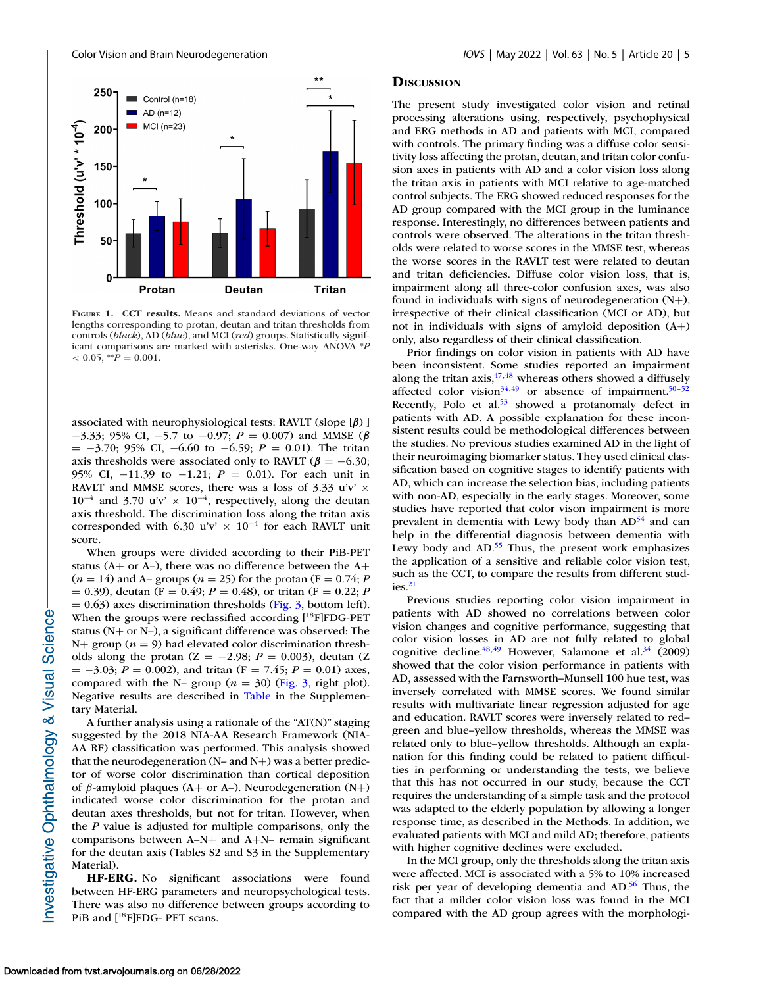<span id="page-4-0"></span>

**FIGURE 1. CCT results.** Means and standard deviations of vector lengths corresponding to protan, deutan and tritan thresholds from controls (*black*), AD (*blue*), and MCI (*red*) groups. Statistically significant comparisons are marked with asterisks. One-way ANOVA \**P*  $< 0.05,$  \*\* $P = 0.001$ .

associated with neurophysiological tests: RAVLT (slope [*β*) ] −3.33; 95% CI, −5.7 to −0.97; *P* = 0.007) and MMSE (*β* = −3.70; 95% CI, −6.60 to −6.59; *P* = 0.01). The tritan axis thresholds were associated only to RAVLT ( $\beta = -6.30$ ; 95% CI, −11.39 to −1.21; *P* = 0.01). For each unit in RAVLT and MMSE scores, there was a loss of 3.33 u'v'  $\times$  $10^{-4}$  and 3.70 u'v' ×  $10^{-4}$ , respectively, along the deutan axis threshold. The discrimination loss along the tritan axis corresponded with 6.30 u'v'  $\times$  10<sup>-4</sup> for each RAVLT unit score.

When groups were divided according to their PiB-PET status ( $A$ + or  $A$ –), there was no difference between the  $A$ +  $(n = 14)$  and A– groups  $(n = 25)$  for the protan  $(F = 0.74; P)$  $= 0.39$ ), deutan (F = 0.49; *P* = 0.48), or tritan (F = 0.22; *P*  $= 0.63$ ) axes discrimination thresholds [\(Fig. 3,](#page-6-0) bottom left). When the groups were reclassified according [<sup>18</sup>F]FDG-PET status (N+ or N–), a significant difference was observed: The  $N+$  group ( $n = 9$ ) had elevated color discrimination thresholds along the protan  $(Z = -2.98; P = 0.003)$ , deutan  $(Z = -2.98; P = 0.003)$ = −3.03; *P* = 0.002), and tritan (F = 7.45; *P* = 0.01) axes, compared with the N– group  $(n = 30)$  [\(Fig. 3,](#page-6-0) right plot). Negative results are described in [Table](#page-3-0) in the Supplementary Material.

A further analysis using a rationale of the "AT(N)" staging suggested by the 2018 NIA-AA Research Framework (NIA-AA RF) classification was performed. This analysis showed that the neurodegeneration (N– and N+) was a better predictor of worse color discrimination than cortical deposition of  $\beta$ -amyloid plaques (A+ or A-). Neurodegeneration (N+) indicated worse color discrimination for the protan and deutan axes thresholds, but not for tritan. However, when the *P* value is adjusted for multiple comparisons, only the comparisons between A–N+ and A+N– remain significant for the deutan axis (Tables S2 and S3 in the Supplementary Material).

**HF-ERG.** No significant associations were found between HF-ERG parameters and neuropsychological tests. There was also no difference between groups according to PiB and [<sup>18</sup>F]FDG- PET scans.

#### **DISCUSSION**

The present study investigated color vision and retinal processing alterations using, respectively, psychophysical and ERG methods in AD and patients with MCI, compared with controls. The primary finding was a diffuse color sensitivity loss affecting the protan, deutan, and tritan color confusion axes in patients with AD and a color vision loss along the tritan axis in patients with MCI relative to age-matched control subjects. The ERG showed reduced responses for the AD group compared with the MCI group in the luminance response. Interestingly, no differences between patients and controls were observed. The alterations in the tritan thresholds were related to worse scores in the MMSE test, whereas the worse scores in the RAVLT test were related to deutan and tritan deficiencies. Diffuse color vision loss, that is, impairment along all three-color confusion axes, was also found in individuals with signs of neurodegeneration (N+), irrespective of their clinical classification (MCI or AD), but not in individuals with signs of amyloid deposition (A+) only, also regardless of their clinical classification.

Prior findings on color vision in patients with AD have been inconsistent. Some studies reported an impairment along the tritan axis,  $47,48$  whereas others showed a diffusely affected color vision<sup>34,49</sup> or absence of impairment.<sup>50-52</sup> Recently, Polo et al.<sup>53</sup> showed a protanomaly defect in patients with AD. A possible explanation for these inconsistent results could be methodological differences between the studies. No previous studies examined AD in the light of their neuroimaging biomarker status. They used clinical classification based on cognitive stages to identify patients with AD, which can increase the selection bias, including patients with non-AD, especially in the early stages. Moreover, some studies have reported that color vison impairment is more prevalent in dementia with Lewy body than  $AD<sup>54</sup>$  and can help in the differential diagnosis between dementia with Lewy body and  $AD<sup>55</sup>$  Thus, the present work emphasizes the application of a sensitive and reliable color vision test, such as the CCT, to compare the results from different stud $i$ es. $21$ 

Previous studies reporting color vision impairment in patients with AD showed no correlations between color vision changes and cognitive performance, suggesting that color vision losses in AD are not fully related to global cognitive decline. $48,49$  However, Salamone et al. $34$  (2009) showed that the color vision performance in patients with AD, assessed with the Farnsworth–Munsell 100 hue test, was inversely correlated with MMSE scores. We found similar results with multivariate linear regression adjusted for age and education. RAVLT scores were inversely related to red– green and blue–yellow thresholds, whereas the MMSE was related only to blue–yellow thresholds. Although an explanation for this finding could be related to patient difficulties in performing or understanding the tests, we believe that this has not occurred in our study, because the CCT requires the understanding of a simple task and the protocol was adapted to the elderly population by allowing a longer response time, as described in the Methods. In addition, we evaluated patients with MCI and mild AD; therefore, patients with higher cognitive declines were excluded.

In the MCI group, only the thresholds along the tritan axis were affected. MCI is associated with a 5% to 10% increased risk per year of developing dementia and AD.<sup>56</sup> Thus, the fact that a milder color vision loss was found in the MCI compared with the AD group agrees with the morphologi-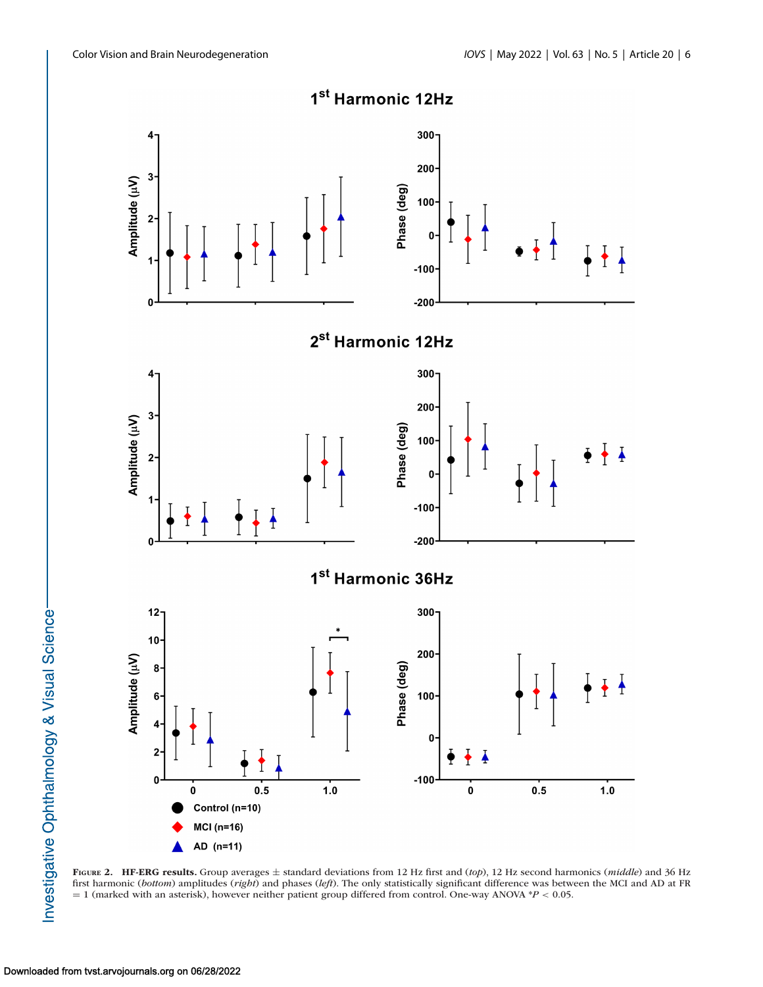<span id="page-5-0"></span>

**FIGURE 2. HF-ERG results.** Group averages ± standard deviations from 12 Hz first and (*top*), 12 Hz second harmonics (*middle*) and 36 Hz first harmonic (*bottom*) amplitudes (*right*) and phases (*left*). The only statistically significant difference was between the MCI and AD at FR = 1 (marked with an asterisk), however neither patient group differed from control. One-way ANOVA \**P* < 0.05.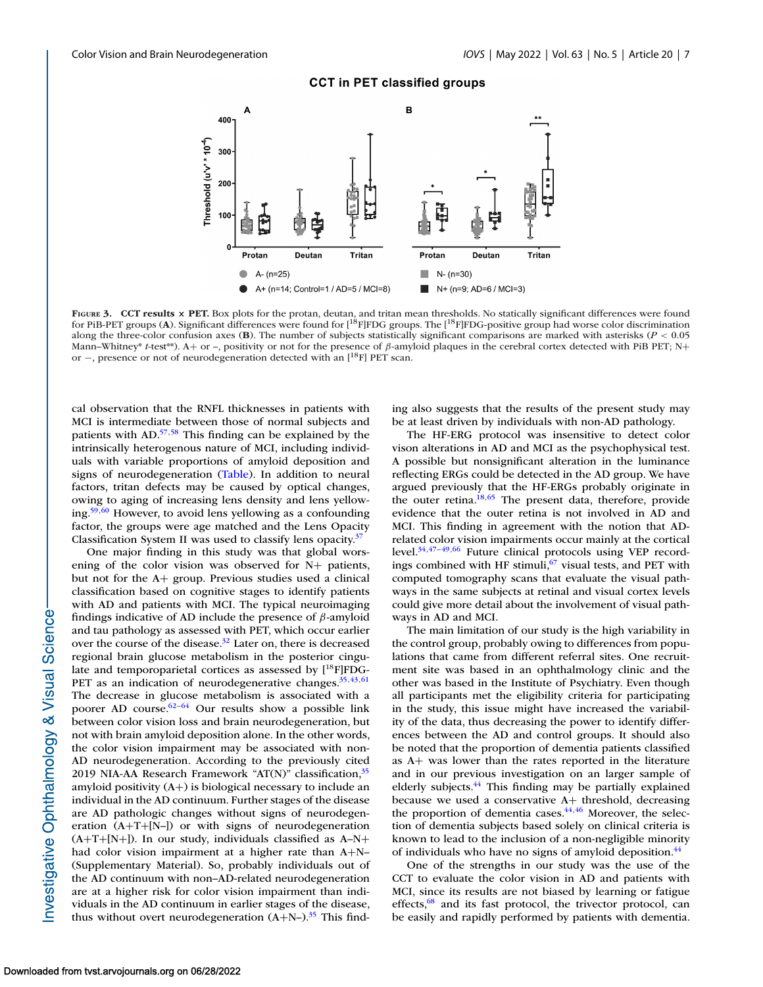## **CCT in PET classified groups**

<span id="page-6-0"></span>

**FIGURE 3. CCT results × PET.** Box plots for the protan, deutan, and tritan mean thresholds. No statically significant differences were found for PiB-PET groups (**A**). Significant differences were found for [18F]FDG groups. The [18F]FDG-positive group had worse color discrimination along the three-color confusion axes (**B**). The number of subjects statistically significant comparisons are marked with asterisks (*P* < 0.05 Mann–Whitney\* *t*-test\*\*). A+ or –, positivity or not for the presence of β-amyloid plaques in the cerebral cortex detected with PiB PET; N+ or −, presence or not of neurodegeneration detected with an [<sup>18</sup>F] PET scan.

cal observation that the RNFL thicknesses in patients with MCI is intermediate between those of normal subjects and patients with AD[.57,58](#page-9-0) This finding can be explained by the intrinsically heterogenous nature of MCI, including individuals with variable proportions of amyloid deposition and signs of neurodegeneration [\(Table\)](#page-3-0). In addition to neural factors, tritan defects may be caused by optical changes, owing to aging of increasing lens density and lens yellowing[.59,60](#page-9-0) However, to avoid lens yellowing as a confounding factor, the groups were age matched and the Lens Opacity Classification System II was used to classify lens opacity. $37$ 

One major finding in this study was that global worsening of the color vision was observed for N+ patients, but not for the A+ group. Previous studies used a clinical classification based on cognitive stages to identify patients with AD and patients with MCI. The typical neuroimaging findings indicative of AD include the presence of  $\beta$ -amyloid and tau pathology as assessed with PET, which occur earlier over the course of the disease.<sup>32</sup> Later on, there is decreased regional brain glucose metabolism in the posterior cingulate and temporoparietal cortices as assessed by  $[{}^{18}F]FDG-$ PET as an indication of neurodegenerative changes.<sup>35,43,[61](#page-9-0)</sup> The decrease in glucose metabolism is associated with a poorer AD course.<sup>62-64</sup> Our results show a possible link between color vision loss and brain neurodegeneration, but not with brain amyloid deposition alone. In the other words, the color vision impairment may be associated with non-AD neurodegeneration. According to the previously cited 2019 NIA-AA Research Framework "AT(N)" classification,  $35$ amyloid positivity (A+) is biological necessary to include an individual in the AD continuum. Further stages of the disease are AD pathologic changes without signs of neurodegeneration (A+T+[N–]) or with signs of neurodegeneration  $(A+T+[N+])$ . In our study, individuals classified as  $A-N+$ had color vision impairment at a higher rate than A+N– (Supplementary Material). So, probably individuals out of the AD continuum with non–AD-related neurodegeneration are at a higher risk for color vision impairment than individuals in the AD continuum in earlier stages of the disease, thus without overt neurodegeneration  $(A+N-)$ .<sup>35</sup> This finding also suggests that the results of the present study may be at least driven by individuals with non-AD pathology.

The HF-ERG protocol was insensitive to detect color vison alterations in AD and MCI as the psychophysical test. A possible but nonsignificant alteration in the luminance reflecting ERGs could be detected in the AD group. We have argued previously that the HF-ERGs probably originate in the outer retina.<sup>18[,65](#page-9-0)</sup> The present data, therefore, provide evidence that the outer retina is not involved in AD and MCI. This finding in agreement with the notion that ADrelated color vision impairments occur mainly at the cortical level[.34,47–49](#page-8-0)[,66](#page-9-0) Future clinical protocols using VEP recordings combined with HF stimuli, $67$  visual tests, and PET with computed tomography scans that evaluate the visual pathways in the same subjects at retinal and visual cortex levels could give more detail about the involvement of visual pathways in AD and MCI.

The main limitation of our study is the high variability in the control group, probably owing to differences from populations that came from different referral sites. One recruitment site was based in an ophthalmology clinic and the other was based in the Institute of Psychiatry. Even though all participants met the eligibility criteria for participating in the study, this issue might have increased the variability of the data, thus decreasing the power to identify differences between the AD and control groups. It should also be noted that the proportion of dementia patients classified as A+ was lower than the rates reported in the literature and in our previous investigation on an larger sample of elderly subjects.<sup>44</sup> This finding may be partially explained because we used a conservative A+ threshold, decreasing the proportion of dementia cases. $44,46$  Moreover, the selection of dementia subjects based solely on clinical criteria is known to lead to the inclusion of a non-negligible minority of individuals who have no signs of amyloid deposition[.44](#page-8-0)

One of the strengths in our study was the use of the CCT to evaluate the color vision in AD and patients with MCI, since its results are not biased by learning or fatigue effects, $68$  and its fast protocol, the trivector protocol, can be easily and rapidly performed by patients with dementia.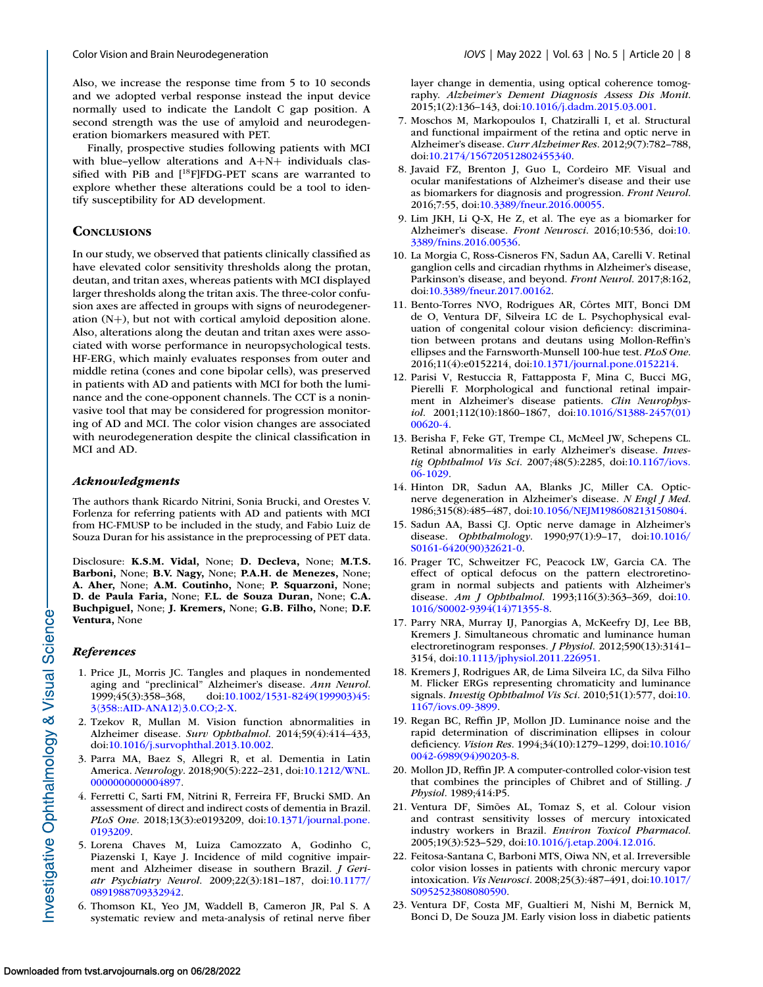<span id="page-7-0"></span>

Also, we increase the response time from 5 to 10 seconds and we adopted verbal response instead the input device normally used to indicate the Landolt C gap position. A second strength was the use of amyloid and neurodegeneration biomarkers measured with PET.

Finally, prospective studies following patients with MCI with blue–yellow alterations and A+N+ individuals classified with PiB and  $[$ <sup>18</sup>F $]$ FDG-PET scans are warranted to explore whether these alterations could be a tool to identify susceptibility for AD development*.*

# **CONCLUSIONS**

In our study, we observed that patients clinically classified as have elevated color sensitivity thresholds along the protan, deutan, and tritan axes, whereas patients with MCI displayed larger thresholds along the tritan axis. The three-color confusion axes are affected in groups with signs of neurodegeneration (N+), but not with cortical amyloid deposition alone. Also, alterations along the deutan and tritan axes were associated with worse performance in neuropsychological tests. HF-ERG, which mainly evaluates responses from outer and middle retina (cones and cone bipolar cells), was preserved in patients with AD and patients with MCI for both the luminance and the cone-opponent channels. The CCT is a noninvasive tool that may be considered for progression monitoring of AD and MCI. The color vision changes are associated with neurodegeneration despite the clinical classification in MCI and AD.

## *Acknowledgments*

The authors thank Ricardo Nitrini, Sonia Brucki, and Orestes V. Forlenza for referring patients with AD and patients with MCI from HC-FMUSP to be included in the study, and Fabio Luiz de Souza Duran for his assistance in the preprocessing of PET data.

Disclosure: **K.S.M. Vidal,** None; **D. Decleva,** None; **M.T.S. Barboni,** None; **B.V. Nagy,** None; **P.A.H. de Menezes,** None; **A. Aher,** None; **A.M. Coutinho,** None; **P. Squarzoni,** None; **D. de Paula Faria,** None; **F.L. de Souza Duran,** None; **C.A. Buchpiguel,** None; **J. Kremers,** None; **G.B. Filho,** None; **D.F. Ventura,** None

#### *References*

- 1. Price JL, Morris JC. Tangles and plaques in nondemented aging and "preclinical" Alzheimer's disease. *Ann Neurol*. [1999;45\(3\):358–368, doi:10.1002/1531-8249\(199903\)45:](http://doi.org/10.1002/1531-8249(199903)45:310358::AID-ANA12103.0.CO;2-X) 3\358::AID-ANA12\3.0.CO;2-X.
- 2. Tzekov R, Mullan M. Vision function abnormalities in Alzheimer disease. *Surv Ophthalmol*. 2014;59(4):414–433, doi[:10.1016/j.survophthal.2013.10.002.](http://doi.org/10.1016/j.survophthal.2013.10.002)
- 3. Parra MA, Baez S, Allegri R, et al. Dementia in Latin America. *Neurology*[. 2018;90\(5\):222–231, doi:10.1212/WNL.](http://doi.org/10.1212/WNL.0000000000004897) 0000000000004897.
- 4. Ferretti C, Sarti FM, Nitrini R, Ferreira FF, Brucki SMD. An assessment of direct and indirect costs of dementia in Brazil. *PLoS One*[. 2018;13\(3\):e0193209, doi:10.1371/journal.pone.](http://doi.org/10.1371/journal.pone.0193209) 0193209.
- 5. Lorena Chaves M, Luiza Camozzato A, Godinho C, Piazenski I, Kaye J. Incidence of mild cognitive impairment and Alzheimer disease in southern Brazil. *J Geriatr Psychiatry Neurol*[. 2009;22\(3\):181–187, doi:10.1177/](http://doi.org/10.1177/0891988709332942) 0891988709332942.
- 6. Thomson KL, Yeo JM, Waddell B, Cameron JR, Pal S. A systematic review and meta-analysis of retinal nerve fiber

layer change in dementia, using optical coherence tomography. *Alzheimer's Dement Diagnosis Assess Dis Monit*. 2015;1(2):136–143, doi[:10.1016/j.dadm.2015.03.001.](http://doi.org/10.1016/j.dadm.2015.03.001)

- 7. Moschos M, Markopoulos I, Chatziralli I, et al. Structural and functional impairment of the retina and optic nerve in Alzheimer's disease. *Curr Alzheimer Res*. 2012;9(7):782–788, doi[:10.2174/156720512802455340.](http://doi.org/10.2174/156720512802455340)
- 8. Javaid FZ, Brenton J, Guo L, Cordeiro MF. Visual and ocular manifestations of Alzheimer's disease and their use as biomarkers for diagnosis and progression. *Front Neurol*. 2016;7:55, doi[:10.3389/fneur.2016.00055.](http://doi.org/10.3389/fneur.2016.00055)
- 9. Lim JKH, Li Q-X, He Z, et al. The eye as a biomarker for Alzheimer's disease. *Front Neurosci*. 2016;10:536, doi:10. [3389/fnins.2016.00536.](http://doi.org/10.3389/fnins.2016.00536)
- 10. La Morgia C, Ross-Cisneros FN, Sadun AA, Carelli V. Retinal ganglion cells and circadian rhythms in Alzheimer's disease, Parkinson's disease, and beyond. *Front Neurol*. 2017;8:162, doi[:10.3389/fneur.2017.00162.](http://doi.org/10.3389/fneur.2017.00162)
- 11. Bento-Torres NVO, Rodrigues AR, Côrtes MIT, Bonci DM de O, Ventura DF, Silveira LC de L. Psychophysical evaluation of congenital colour vision deficiency: discrimination between protans and deutans using Mollon-Reffin's ellipses and the Farnsworth-Munsell 100-hue test. *PLoS One*. 2016;11(4):e0152214, doi[:10.1371/journal.pone.0152214.](http://doi.org/10.1371/journal.pone.0152214)
- 12. Parisi V, Restuccia R, Fattapposta F, Mina C, Bucci MG, Pierelli F. Morphological and functional retinal impairment in Alzheimer's disease patients. *Clin Neurophysiol*[. 2001;112\(10\):1860–1867, doi:10.1016/S1388-2457\(01\)](http://doi.org/10.1016/S1388-2457(01)00620-4) 00620-4.
- 13. Berisha F, Feke GT, Trempe CL, McMeel JW, Schepens CL. Retinal abnormalities in early Alzheimer's disease. *Investig Ophthalmol Vis Sci*[. 2007;48\(5\):2285, doi:10.1167/iovs.](http://doi.org/10.1167/iovs.06-1029) 06-1029.
- 14. Hinton DR, Sadun AA, Blanks JC, Miller CA. Opticnerve degeneration in Alzheimer's disease. *N Engl J Med*. 1986;315(8):485–487, doi[:10.1056/NEJM198608213150804.](http://doi.org/10.1056/NEJM198608213150804)
- 15. Sadun AA, Bassi CJ. Optic nerve damage in Alzheimer's disease. *Ophthalmology*[. 1990;97\(1\):9–17, doi:10.1016/](http://doi.org/10.1016/S0161-6420(90)32621-0) S0161-6420(90)32621-0.
- 16. Prager TC, Schweitzer FC, Peacock LW, Garcia CA. The effect of optical defocus on the pattern electroretinogram in normal subjects and patients with Alzheimer's disease. *Am J Ophthalmol*[. 1993;116\(3\):363–369, doi:10.](http://doi.org/10.1016/S0002-9394(14)71355-8) 1016/S0002-9394(14)71355-8.
- 17. Parry NRA, Murray IJ, Panorgias A, McKeefry DJ, Lee BB, Kremers J. Simultaneous chromatic and luminance human electroretinogram responses. *J Physiol*. 2012;590(13):3141– 3154, doi[:10.1113/jphysiol.2011.226951.](http://doi.org/10.1113/jphysiol.2011.226951)
- 18. Kremers J, Rodrigues AR, de Lima Silveira LC, da Silva Filho M. Flicker ERGs representing chromaticity and luminance signals. *[Investig Ophthalmol Vis Sci](http://doi.org/10.1167/iovs.09-3899)*. 2010;51(1):577, doi:10. 1167/iovs.09-3899.
- 19. Regan BC, Reffin JP, Mollon JD. Luminance noise and the rapid determination of discrimination ellipses in colour deficiency. *Vision Res*[. 1994;34\(10\):1279–1299, doi:10.1016/](http://doi.org/10.1016/0042-6989(94)90203-8) 0042-6989(94)90203-8.
- 20. Mollon JD, Reffin JP. A computer-controlled color-vision test that combines the principles of Chibret and of Stilling. *J Physiol*. 1989;414:P5.
- 21. Ventura DF, Simões AL, Tomaz S, et al. Colour vision and contrast sensitivity losses of mercury intoxicated industry workers in Brazil. *Environ Toxicol Pharmacol*. 2005;19(3):523–529, doi[:10.1016/j.etap.2004.12.016.](http://doi.org/10.1016/j.etap.2004.12.016)
- 22. Feitosa-Santana C, Barboni MTS, Oiwa NN, et al. Irreversible color vision losses in patients with chronic mercury vapor intoxication. *Vis Neurosci*[. 2008;25\(3\):487–491, doi:10.1017/](http://doi.org/10.1017/S0952523808080590) S0952523808080590.
- 23. Ventura DF, Costa MF, Gualtieri M, Nishi M, Bernick M, Bonci D, De Souza JM. Early vision loss in diabetic patients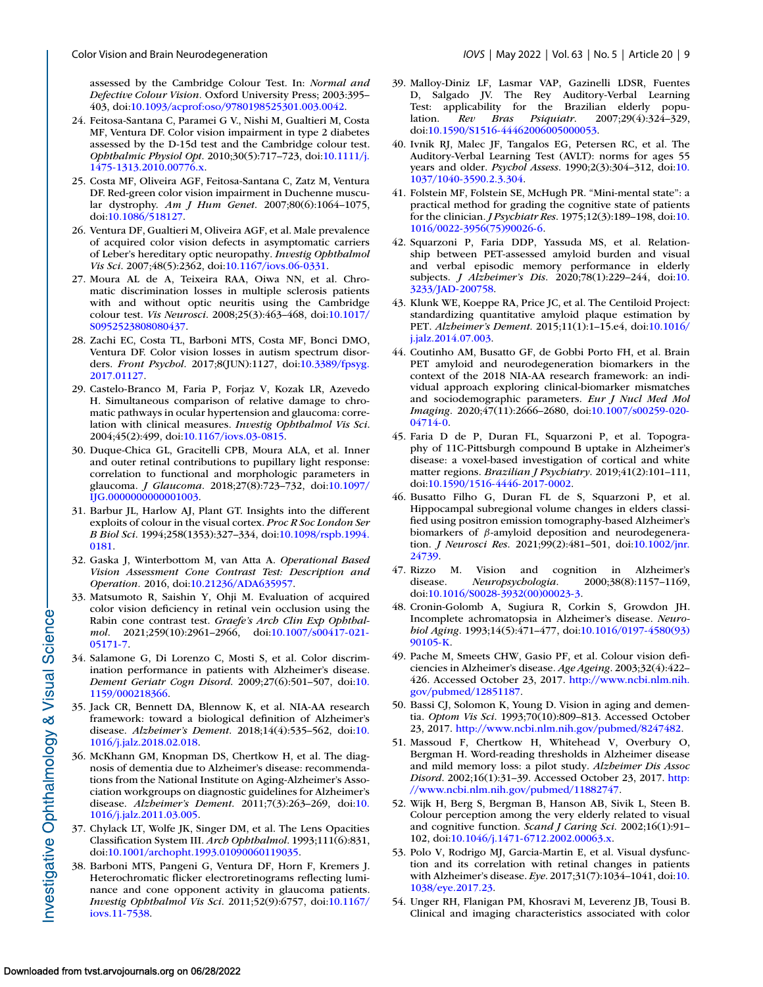<span id="page-8-0"></span>assessed by the Cambridge Colour Test. In: *Normal and Defective Colour Vision.* Oxford University Press; 2003:395– 403, doi[:10.1093/acprof:oso/9780198525301.003.0042.](https://doi.org/10.1093/acprof:oso/9780198525301.003.0042)

- 24. Feitosa-Santana C, Paramei G V., Nishi M, Gualtieri M, Costa MF, Ventura DF. Color vision impairment in type 2 diabetes assessed by the D-15d test and the Cambridge colour test. *Ophthalmic Physiol Opt*[. 2010;30\(5\):717–723, doi:10.1111/j.](http://doi.org/10.1111/j.1475-1313.2010.00776.x) 1475-1313.2010.00776.x.
- 25. Costa MF, Oliveira AGF, Feitosa-Santana C, Zatz M, Ventura DF. Red-green color vision impairment in Duchenne muscular dystrophy. *Am J Hum Genet*. 2007;80(6):1064–1075, doi[:10.1086/518127.](http://doi.org/10.1086/518127)
- 26. Ventura DF, Gualtieri M, Oliveira AGF, et al. Male prevalence of acquired color vision defects in asymptomatic carriers of Leber's hereditary optic neuropathy. *Investig Ophthalmol Vis Sci*. 2007;48(5):2362, doi[:10.1167/iovs.06-0331.](http://doi.org/10.1167/iovs.06-0331)
- 27. Moura AL de A, Teixeira RAA, Oiwa NN, et al. Chromatic discrimination losses in multiple sclerosis patients with and without optic neuritis using the Cambridge colour test. *Vis Neurosci*[. 2008;25\(3\):463–468, doi:10.1017/](http://doi.org/10.1017/S0952523808080437) S0952523808080437.
- 28. Zachi EC, Costa TL, Barboni MTS, Costa MF, Bonci DMO, Ventura DF. Color vision losses in autism spectrum disorders. *Front Psychol*[. 2017;8\(JUN\):1127, doi:10.3389/fpsyg.](http://doi.org/10.3389/fpsyg.2017.01127) 2017.01127.
- 29. Castelo-Branco M, Faria P, Forjaz V, Kozak LR, Azevedo H. Simultaneous comparison of relative damage to chromatic pathways in ocular hypertension and glaucoma: correlation with clinical measures. *Investig Ophthalmol Vis Sci*. 2004;45(2):499, doi[:10.1167/iovs.03-0815.](http://doi.org/10.1167/iovs.03-0815)
- 30. Duque-Chica GL, Gracitelli CPB, Moura ALA, et al. Inner and outer retinal contributions to pupillary light response: correlation to functional and morphologic parameters in glaucoma. *J Glaucoma*[. 2018;27\(8\):723–732, doi:10.1097/](http://doi.org/10.1097/IJG.0000000000001003) IJG.0000000000001003.
- 31. Barbur JL, Harlow AJ, Plant GT. Insights into the different exploits of colour in the visual cortex. *Proc R Soc London Ser B Biol Sci*[. 1994;258\(1353\):327–334, doi:10.1098/rspb.1994.](http://doi.org/10.1098/rspb.1994.0181) 0181.
- 32. Gaska J, Winterbottom M, van Atta A. *Operational Based Vision Assessment Cone Contrast Test: Description and Operation.* 2016, doi[:10.21236/ADA635957.](https://doi.org/10.21236/ADA635957)
- 33. Matsumoto R, Saishin Y, Ohji M. Evaluation of acquired color vision deficiency in retinal vein occlusion using the Rabin cone contrast test. *Graefe's Arch Clin Exp Ophthalmol*[. 2021;259\(10\):2961–2966, doi:10.1007/s00417-021-](http://doi.org/10.1007/s00417-021-05171-7) 05171-7.
- 34. Salamone G, Di Lorenzo C, Mosti S, et al. Color discrimination performance in patients with Alzheimer's disease. *[Dement Geriatr Cogn Disord](http://doi.org/10.1159/000218366)*. 2009;27(6):501–507, doi:10. 1159/000218366.
- 35. Jack CR, Bennett DA, Blennow K, et al. NIA-AA research framework: toward a biological definition of Alzheimer's disease. *Alzheimer's Dement*[. 2018;14\(4\):535–562, doi:10.](http://doi.org/10.1016/j.jalz.2018.02.018) 1016/j.jalz.2018.02.018.
- 36. McKhann GM, Knopman DS, Chertkow H, et al. The diagnosis of dementia due to Alzheimer's disease: recommendations from the National Institute on Aging-Alzheimer's Association workgroups on diagnostic guidelines for Alzheimer's disease. *Alzheimer's Dement*[. 2011;7\(3\):263–269, doi:10.](http://doi.org/10.1016/j.jalz.2011.03.005) 1016/j.jalz.2011.03.005.
- 37. Chylack LT, Wolfe JK, Singer DM, et al. The Lens Opacities Classification System III. *Arch Ophthalmol*. 1993;111(6):831, doi[:10.1001/archopht.1993.01090060119035.](http://doi.org/10.1001/archopht.1993.01090060119035)
- 38. Barboni MTS, Pangeni G, Ventura DF, Horn F, Kremers J. Heterochromatic flicker electroretinograms reflecting luminance and cone opponent activity in glaucoma patients. *Investig Ophthalmol Vis Sci*[. 2011;52\(9\):6757, doi:10.1167/](http://doi.org/10.1167/iovs.11-7538) iovs.11-7538.
- 39. Malloy-Diniz LF, Lasmar VAP, Gazinelli LDSR, Fuentes D, Salgado JV. The Rey Auditory-Verbal Learning Test: applicability for the Brazilian elderly population. *Rev Bras Psiquiatr*. 2007;29(4):324–329, doi[:10.1590/S1516-44462006005000053.](http://doi.org/10.1590/S1516-44462006005000053)
- 40. Ivnik RJ, Malec JF, Tangalos EG, Petersen RC, et al. The Auditory-Verbal Learning Test (AVLT): norms for ages 55 years and older. *Psychol Assess*[. 1990;2\(3\):304–312, doi:10.](http://doi.org/10.1037/1040-3590.2.3.304) 1037/1040-3590.2.3.304.
- 41. Folstein MF, Folstein SE, McHugh PR. "Mini-mental state": a practical method for grading the cognitive state of patients for the clinician. *J Psychiatr Res*. 1975;12(3):189–198, doi:10. [1016/0022-3956\(75\)90026-6.](http://doi.org/10.1016/0022-3956(75)90026-6)
- 42. Squarzoni P, Faria DDP, Yassuda MS, et al. Relationship between PET-assessed amyloid burden and visual and verbal episodic memory performance in elderly subjects. *J Alzheimer's Dis*[. 2020;78\(1\):229–244, doi:10.](http://doi.org/10.3233/JAD-200758) 3233/JAD-200758.
- 43. Klunk WE, Koeppe RA, Price JC, et al. The Centiloid Project: standardizing quantitative amyloid plaque estimation by PET. *Alzheimer's Dement*[. 2015;11\(1\):1–15.e4, doi:10.1016/](http://doi.org/10.1016/j.jalz.2014.07.003) j.jalz.2014.07.003.
- 44. Coutinho AM, Busatto GF, de Gobbi Porto FH, et al. Brain PET amyloid and neurodegeneration biomarkers in the context of the 2018 NIA-AA research framework: an individual approach exploring clinical-biomarker mismatches and sociodemographic parameters. *Eur J Nucl Med Mol Imaging*[. 2020;47\(11\):2666–2680, doi:10.1007/s00259-020-](http://doi.org/10.1007/s00259-020-04714-0) 04714-0.
- 45. Faria D de P, Duran FL, Squarzoni P, et al. Topography of 11C-Pittsburgh compound B uptake in Alzheimer's disease: a voxel-based investigation of cortical and white matter regions. *Brazilian J Psychiatry*. 2019;41(2):101–111, doi[:10.1590/1516-4446-2017-0002.](http://doi.org/10.1590/1516-4446-2017-0002)
- 46. Busatto Filho G, Duran FL de S, Squarzoni P, et al. Hippocampal subregional volume changes in elders classified using positron emission tomography-based Alzheimer's biomarkers of  $\beta$ -amyloid deposition and neurodegeneration. *J Neurosci Res*[. 2021;99\(2\):481–501, doi:10.1002/jnr.](http://doi.org/10.1002/jnr.24739) 24739.
- 47. Rizzo M. Vision and cognition in Alzheimer's disease. Neuropsychologia. 2000;38(8):1157-1169, disease. *Neuropsychologia*. 2000;38(8):1157–1169, doi[:10.1016/S0028-3932\(00\)00023-3.](http://doi.org/10.1016/S0028-3932(00)00023-3)
- 48. Cronin-Golomb A, Sugiura R, Corkin S, Growdon JH. Incomplete achromatopsia in Alzheimer's disease. *Neurobiol Aging*[. 1993;14\(5\):471–477, doi:10.1016/0197-4580\(93\)](http://doi.org/10.1016/0197-4580(93)90105-K) 90105-K.
- 49. Pache M, Smeets CHW, Gasio PF, et al. Colour vision deficiencies in Alzheimer's disease. *Age Ageing*. 2003;32(4):422– [426. Accessed October 23, 2017.](http://www.ncbi.nlm.nih.gov/pubmed/12851187) http://www.ncbi.nlm.nih. gov/pubmed/12851187.
- 50. Bassi CJ, Solomon K, Young D. Vision in aging and dementia. *Optom Vis Sci*. 1993;70(10):809–813. Accessed October 23, 2017. [http://www.ncbi.nlm.nih.gov/pubmed/8247482.](http://www.ncbi.nlm.nih.gov/pubmed/8247482)
- 51. Massoud F, Chertkow H, Whitehead V, Overbury O, Bergman H. Word-reading thresholds in Alzheimer disease and mild memory loss: a pilot study. *Alzheimer Dis Assoc Disord*[. 2002;16\(1\):31–39. Accessed October 23, 2017.](http://www.ncbi.nlm.nih.gov/pubmed/11882747) http: //www.ncbi.nlm.nih.gov/pubmed/11882747.
- 52. Wijk H, Berg S, Bergman B, Hanson AB, Sivik L, Steen B. Colour perception among the very elderly related to visual and cognitive function. *Scand J Caring Sci*. 2002;16(1):91– 102, doi[:10.1046/j.1471-6712.2002.00063.x.](http://doi.org/10.1046/j.1471-6712.2002.00063.x)
- 53. Polo V, Rodrigo MJ, Garcia-Martin E, et al. Visual dysfunction and its correlation with retinal changes in patients with Alzheimer's disease. *Eye*[. 2017;31\(7\):1034–1041, doi:10.](http://doi.org/10.1038/eye.2017.23) 1038/eye.2017.23.
- 54. Unger RH, Flanigan PM, Khosravi M, Leverenz JB, Tousi B. Clinical and imaging characteristics associated with color